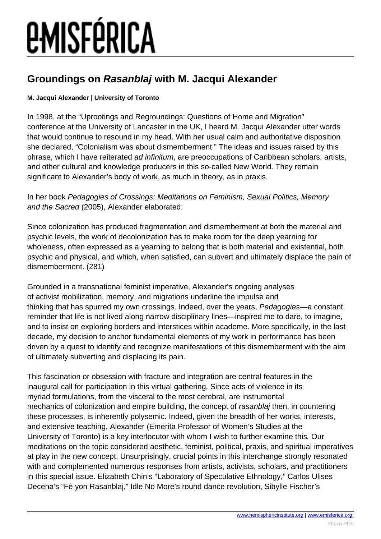### **Groundings on Rasanblaj with M. Jacqui Alexander**

### **M. Jacqui Alexander | University of Toronto**

In 1998, at the "Uprootings and Regroundings: Questions of Home and Migration" conference at the University of Lancaster in the UK, I heard M. Jacqui Alexander utter words that would continue to resound in my head. With her usual calm and authoritative disposition she declared, "Colonialism was about dismemberment." The ideas and issues raised by this phrase, which I have reiterated ad infinitum, are preoccupations of Caribbean scholars, artists, and other cultural and knowledge producers in this so-called New World. They remain significant to Alexander's body of work, as much in theory, as in praxis.

In her book Pedagogies of Crossings: Meditations on Feminism, Sexual Politics, Memory and the Sacred (2005), Alexander elaborated:

Since colonization has produced fragmentation and dismemberment at both the material and psychic levels, the work of decolonization has to make room for the deep yearning for wholeness, often expressed as a yearning to belong that is both material and existential, both psychic and physical, and which, when satisfied, can subvert and ultimately displace the pain of dismemberment. (281)

Grounded in a transnational feminist imperative, Alexander's ongoing analyses of activist mobilization, memory, and migrations underline the impulse and thinking that has spurred my own crossings. Indeed, over the years, Pedagogies—a constant reminder that life is not lived along narrow disciplinary lines—inspired me to dare, to imagine, and to insist on exploring borders and interstices within academe. More specifically, in the last decade, my decision to anchor fundamental elements of my work in performance has been driven by a quest to identify and recognize manifestations of this dismemberment with the aim of ultimately subverting and displacing its pain.

This fascination or obsession with fracture and integration are central features in the inaugural call for participation in this virtual gathering. Since acts of violence in its myriad formulations, from the visceral to the most cerebral, are instrumental mechanics of colonization and empire building, the concept of rasanblaj then, in countering these processes, is inherently polysemic. Indeed, given the breadth of her works, interests, and extensive teaching, Alexander (Emerita Professor of Women's Studies at the University of Toronto) is a key interlocutor with whom I wish to further examine this. Our meditations on the topic considered aesthetic, feminist, political, praxis, and spiritual imperatives at play in the new concept. Unsurprisingly, crucial points in this interchange strongly resonated with and complemented numerous responses from artists, activists, scholars, and practitioners in this special issue. Elizabeth Chin's "Laboratory of Speculative Ethnology," Carlos Ulises Decena's "Fè yon Rasanblaj," Idle No More's round dance revolution, Sibylle Fischer's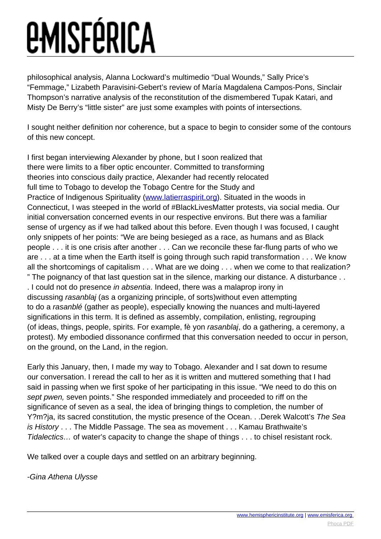philosophical analysis, Alanna Lockward's multimedio "Dual Wounds," Sally Price's "Femmage," Lizabeth Paravisini-Gebert's review of María Magdalena Campos-Pons, Sinclair Thompson's narrative analysis of the reconstitution of the dismembered Tupak Katari, and Misty De Berry's "little sister" are just some examples with points of intersections.

I sought neither definition nor coherence, but a space to begin to consider some of the contours of this new concept.

I first began interviewing Alexander by phone, but I soon realized that there were limits to a fiber optic encounter. Committed to transforming theories into conscious daily practice, Alexander had recently relocated full time to Tobago to develop the Tobago Centre for the Study and Practice of Indigenous Spirituality [\(www.latierraspirit.org](http://www.latierraspirit.org/)). Situated in the woods in Connecticut, I was steeped in the world of #BlackLivesMatter protests, via social media. Our initial conversation concerned events in our respective environs. But there was a familiar sense of urgency as if we had talked about this before. Even though I was focused, I caught only snippets of her points: "We are being besieged as a race, as humans and as Black people . . . it is one crisis after another . . . Can we reconcile these far-flung parts of who we are . . . at a time when the Earth itself is going through such rapid transformation . . . We know all the shortcomings of capitalism . . . What are we doing . . . when we come to that realization? " The poignancy of that last question sat in the silence, marking our distance. A disturbance . . . I could not do presence in absentia. Indeed, there was a malaprop irony in discussing rasanblaj (as a organizing principle, of sorts)without even attempting to do a rasanblé (gather as people), especially knowing the nuances and multi-layered significations in this term. It is defined as assembly, compilation, enlisting, regrouping (of ideas, things, people, spirits. For example, fè yon rasanblaj, do a gathering, a ceremony, a protest). My embodied dissonance confirmed that this conversation needed to occur in person, on the ground, on the Land, in the region.

Early this January, then, I made my way to Tobago. Alexander and I sat down to resume our conversation. I reread the call to her as it is written and muttered something that I had said in passing when we first spoke of her participating in this issue. "We need to do this on sept pwen, seven points." She responded immediately and proceeded to riff on the significance of seven as a seal, the idea of bringing things to completion, the number of Y?m?ja, its sacred constitution, the mystic presence of the Ocean. . .Derek Walcott's The Sea is History . . . The Middle Passage. The sea as movement . . . Kamau Brathwaite's Tidalectics… of water's capacity to change the shape of things . . . to chisel resistant rock.

We talked over a couple days and settled on an arbitrary beginning.

### -Gina Athena Ulysse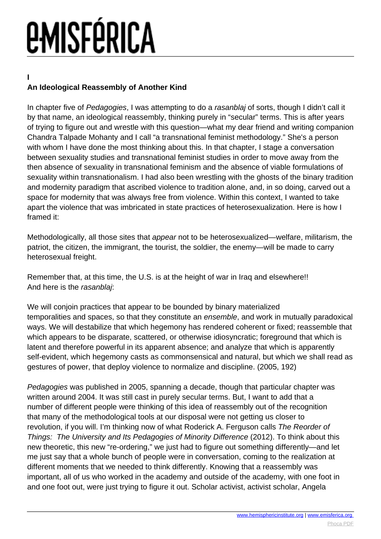**I**

### **An Ideological Reassembly of Another Kind**

In chapter five of Pedagogies, I was attempting to do a rasanblaj of sorts, though I didn't call it by that name, an ideological reassembly, thinking purely in "secular" terms. This is after years of trying to figure out and wrestle with this question—what my dear friend and writing companion Chandra Talpade Mohanty and I call "a transnational feminist methodology." She's a person with whom I have done the most thinking about this. In that chapter, I stage a conversation between sexuality studies and transnational feminist studies in order to move away from the then absence of sexuality in transnational feminism and the absence of viable formulations of sexuality within transnationalism. I had also been wrestling with the ghosts of the binary tradition and modernity paradigm that ascribed violence to tradition alone, and, in so doing, carved out a space for modernity that was always free from violence. Within this context, I wanted to take apart the violence that was imbricated in state practices of heterosexualization. Here is how I framed it:

Methodologically, all those sites that appear not to be heterosexualized—welfare, militarism, the patriot, the citizen, the immigrant, the tourist, the soldier, the enemy—will be made to carry heterosexual freight.

Remember that, at this time, the U.S. is at the height of war in Iraq and elsewhere!! And here is the rasanblaj:

We will conjoin practices that appear to be bounded by binary materialized temporalities and spaces, so that they constitute an ensemble, and work in mutually paradoxical ways. We will destabilize that which hegemony has rendered coherent or fixed; reassemble that which appears to be disparate, scattered, or otherwise idiosyncratic; foreground that which is latent and therefore powerful in its apparent absence; and analyze that which is apparently self-evident, which hegemony casts as commonsensical and natural, but which we shall read as gestures of power, that deploy violence to normalize and discipline. (2005, 192)

Pedagogies was published in 2005, spanning a decade, though that particular chapter was written around 2004. It was still cast in purely secular terms. But, I want to add that a number of different people were thinking of this idea of reassembly out of the recognition that many of the methodological tools at our disposal were not getting us closer to revolution, if you will. I'm thinking now of what Roderick A. Ferguson calls The Reorder of Things: The University and Its Pedagogies of Minority Difference (2012). To think about this new theoretic, this new "re-ordering," we just had to figure out something differently—and let me just say that a whole bunch of people were in conversation, coming to the realization at different moments that we needed to think differently. Knowing that a reassembly was important, all of us who worked in the academy and outside of the academy, with one foot in and one foot out, were just trying to figure it out. Scholar activist, activist scholar, Angela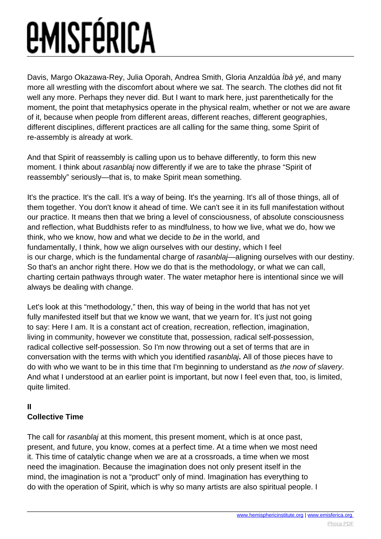Davis, Margo Okazawa-Rey, Julia Oporah, Andrea Smith, Gloria Anzaldúa Ìbà yé, and many more all wrestling with the discomfort about where we sat. The search. The clothes did not fit well any more. Perhaps they never did. But I want to mark here, just parenthetically for the moment, the point that metaphysics operate in the physical realm, whether or not we are aware of it, because when people from different areas, different reaches, different geographies, different disciplines, different practices are all calling for the same thing, some Spirit of re-assembly is already at work.

And that Spirit of reassembly is calling upon us to behave differently, to form this new moment. I think about *rasanblaj* now differently if we are to take the phrase "Spirit of reassembly" seriously—that is, to make Spirit mean something.

It's the practice. It's the call. It's a way of being. It's the yearning. It's all of those things, all of them together. You don't know it ahead of time. We can't see it in its full manifestation without our practice. It means then that we bring a level of consciousness, of absolute consciousness and reflection, what Buddhists refer to as mindfulness, to how we live, what we do, how we think, who we know, how and what we decide to be in the world, and fundamentally, I think, how we align ourselves with our destiny, which I feel is our charge, which is the fundamental charge of rasanblaj—aligning ourselves with our destiny. So that's an anchor right there. How we do that is the methodology, or what we can call, charting certain pathways through water. The water metaphor here is intentional since we will always be dealing with change.

Let's look at this "methodology," then, this way of being in the world that has not yet fully manifested itself but that we know we want, that we yearn for. It's just not going to say: Here I am. It is a constant act of creation, recreation, reflection, imagination, living in community, however we constitute that, possession, radical self-possession, radical collective self-possession. So I'm now throwing out a set of terms that are in conversation with the terms with which you identified rasanblaj**.** All of those pieces have to do with who we want to be in this time that I'm beginning to understand as the now of slavery. And what I understood at an earlier point is important, but now I feel even that, too, is limited, quite limited.

### **II Collective Time**

The call for rasanblaj at this moment, this present moment, which is at once past, present, and future, you know, comes at a perfect time. At a time when we most need it. This time of catalytic change when we are at a crossroads, a time when we most need the imagination. Because the imagination does not only present itself in the mind, the imagination is not a "product" only of mind. Imagination has everything to do with the operation of Spirit, which is why so many artists are also spiritual people. I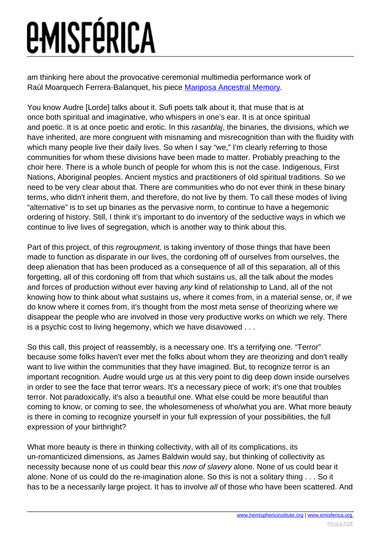am thinking here about the provocative ceremonial multimedia performance work of Raúl Moarquech Ferrera-Balanquet, his piece [Mariposa Ancestral Memory](https://www.youtube.com/watch?v=n95bMl-A4Nw).

You know Audre [Lorde] talks about it. Sufi poets talk about it, that muse that is at once both spiritual and imaginative, who whispers in one's ear. It is at once spiritual and poetic. It is at once poetic and erotic. In this rasanblaj, the binaries, the divisions, which we have inherited, are more congruent with misnaming and misrecognition than with the fluidity with which many people live their daily lives. So when I say "we," I'm clearly referring to those communities for whom these divisions have been made to matter. Probably preaching to the choir here. There is a whole bunch of people for whom this is not the case. Indigenous, First Nations, Aboriginal peoples. Ancient mystics and practitioners of old spiritual traditions. So we need to be very clear about that. There are communities who do not ever think in these binary terms, who didn't inherit them, and therefore, do not live by them. To call these modes of living "alternative" is to set up binaries as the pervasive norm, to continue to have a hegemonic ordering of history. Still, I think it's important to do inventory of the seductive ways in which we continue to live lives of segregation, which is another way to think about this.

Part of this project, of this *regroupment*, is taking inventory of those things that have been made to function as disparate in our lives, the cordoning off of ourselves from ourselves, the deep alienation that has been produced as a consequence of all of this separation, all of this forgetting, all of this cordoning off from that which sustains us, all the talk about the modes and forces of production without ever having any kind of relationship to Land, all of the not knowing how to think about what sustains us, where it comes from, in a material sense, or, if we do know where it comes from, it's thought from the most meta sense of theorizing where we disappear the people who are involved in those very productive works on which we rely. There is a psychic cost to living hegemony, which we have disavowed . . .

So this call, this project of reassembly, is a necessary one. It's a terrifying one. "Terror" because some folks haven't ever met the folks about whom they are theorizing and don't really want to live within the communities that they have imagined. But, to recognize terror is an important recognition. Audre would urge us at this very point to dig deep down inside ourselves in order to see the face that terror wears. It's a necessary piece of work; it's one that troubles terror. Not paradoxically, it's also a beautiful one. What else could be more beautiful than coming to know, or coming to see, the wholesomeness of who/what you are. What more beauty is there in coming to recognize yourself in your full expression of your possibilities, the full expression of your birthright?

What more beauty is there in thinking collectivity, with all of its complications, its un-romanticized dimensions, as James Baldwin would say, but thinking of collectivity as necessity because none of us could bear this now of slavery alone. None of us could bear it alone. None of us could do the re-imagination alone. So this is not a solitary thing . . . So it has to be a necessarily large project. It has to involve all of those who have been scattered. And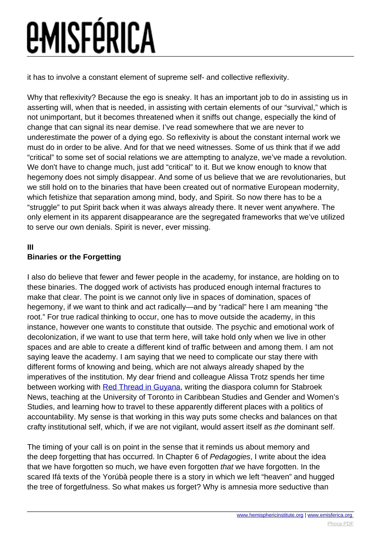it has to involve a constant element of supreme self- and collective reflexivity.

Why that reflexivity? Because the ego is sneaky. It has an important job to do in assisting us in asserting will, when that is needed, in assisting with certain elements of our "survival," which is not unimportant, but it becomes threatened when it sniffs out change, especially the kind of change that can signal its near demise. I've read somewhere that we are never to underestimate the power of a dying ego. So reflexivity is about the constant internal work we must do in order to be alive. And for that we need witnesses. Some of us think that if we add "critical" to some set of social relations we are attempting to analyze, we've made a revolution. We don't have to change much, just add "critical" to it. But we know enough to know that hegemony does not simply disappear. And some of us believe that we are revolutionaries, but we still hold on to the binaries that have been created out of normative European modernity, which fetishize that separation among mind, body, and Spirit. So now there has to be a "struggle" to put Spirit back when it was always already there. It never went anywhere. The only element in its apparent disappearance are the segregated frameworks that we've utilized to serve our own denials. Spirit is never, ever missing.

### **III**

### **Binaries or the Forgetting**

I also do believe that fewer and fewer people in the academy, for instance, are holding on to these binaries. The dogged work of activists has produced enough internal fractures to make that clear. The point is we cannot only live in spaces of domination, spaces of hegemony, if we want to think and act radically—and by "radical" here I am meaning "the root." For true radical thinking to occur, one has to move outside the academy, in this instance, however one wants to constitute that outside. The psychic and emotional work of decolonization, if we want to use that term here, will take hold only when we live in other spaces and are able to create a different kind of traffic between and among them. I am not saying leave the academy. I am saying that we need to complicate our stay there with different forms of knowing and being, which are not always already shaped by the imperatives of the institution. My dear friend and colleague Alissa Trotz spends her time between working with [Red Thread in Guyana,](http://www.globalwomenstrike.net/guyana) writing the diaspora column for Stabroek News, teaching at the University of Toronto in Caribbean Studies and Gender and Women's Studies, and learning how to travel to these apparently different places with a politics of accountability. My sense is that working in this way puts some checks and balances on that crafty institutional self, which, if we are not vigilant, would assert itself as the dominant self.

The timing of your call is on point in the sense that it reminds us about memory and the deep forgetting that has occurred. In Chapter 6 of Pedagogies, I write about the idea that we have forgotten so much, we have even forgotten that we have forgotten. In the scared Ifá texts of the Yorúbà people there is a story in which we left "heaven" and hugged the tree of forgetfulness. So what makes us forget? Why is amnesia more seductive than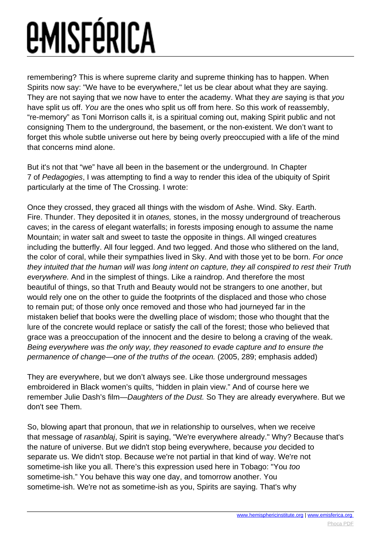remembering? This is where supreme clarity and supreme thinking has to happen. When Spirits now say: "We have to be everywhere," let us be clear about what they are saying. They are not saying that we now have to enter the academy. What they are saying is that you have split us off. You are the ones who split us off from here. So this work of reassembly, "re-memory" as Toni Morrison calls it, is a spiritual coming out, making Spirit public and not consigning Them to the underground, the basement, or the non-existent. We don't want to forget this whole subtle universe out here by being overly preoccupied with a life of the mind that concerns mind alone.

But it's not that "we" have all been in the basement or the underground. In Chapter 7 of Pedagogies, I was attempting to find a way to render this idea of the ubiquity of Spirit particularly at the time of The Crossing. I wrote:

Once they crossed, they graced all things with the wisdom of Ashe. Wind. Sky. Earth. Fire. Thunder. They deposited it in *otanes*, stones, in the mossy underground of treacherous caves; in the caress of elegant waterfalls; in forests imposing enough to assume the name Mountain; in water salt and sweet to taste the opposite in things. All winged creatures including the butterfly. All four legged. And two legged. And those who slithered on the land, the color of coral, while their sympathies lived in Sky. And with those yet to be born. For once they intuited that the human will was long intent on capture, they all conspired to rest their Truth everywhere. And in the simplest of things. Like a raindrop. And therefore the most beautiful of things, so that Truth and Beauty would not be strangers to one another, but would rely one on the other to guide the footprints of the displaced and those who chose to remain put; of those only once removed and those who had journeyed far in the mistaken belief that books were the dwelling place of wisdom; those who thought that the lure of the concrete would replace or satisfy the call of the forest; those who believed that grace was a preoccupation of the innocent and the desire to belong a craving of the weak. Being everywhere was the only way, they reasoned to evade capture and to ensure the permanence of change—one of the truths of the ocean. (2005, 289; emphasis added)

They are everywhere, but we don't always see. Like those underground messages embroidered in Black women's quilts, "hidden in plain view." And of course here we remember Julie Dash's film—Daughters of the Dust. So They are already everywhere. But we don't see Them.

So, blowing apart that pronoun, that we in relationship to ourselves, when we receive that message of rasanblaj, Spirit is saying, "We're everywhere already." Why? Because that's the nature of universe. But we didn't stop being everywhere, because you decided to separate us. We didn't stop. Because we're not partial in that kind of way. We're not sometime-ish like you all. There's this expression used here in Tobago: "You too sometime-ish." You behave this way one day, and tomorrow another. You sometime-ish. We're not as sometime-ish as you, Spirits are saying. That's why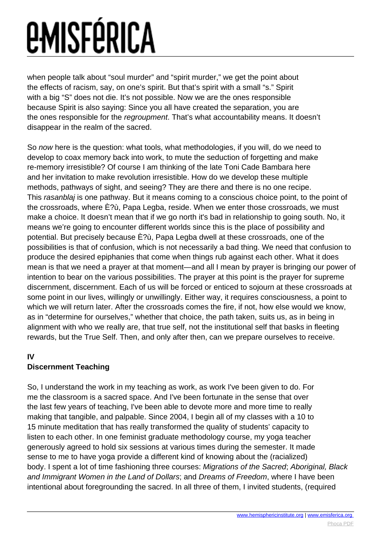when people talk about "soul murder" and "spirit murder," we get the point about the effects of racism, say, on one's spirit. But that's spirit with a small "s." Spirit with a big "S" does not die. It's not possible. Now we are the ones responsible because Spirit is also saying: Since you all have created the separation, you are the ones responsible for the regroupment. That's what accountability means. It doesn't disappear in the realm of the sacred.

So now here is the question: what tools, what methodologies, if you will, do we need to develop to coax memory back into work, to mute the seduction of forgetting and make re-memory irresistible? Of course I am thinking of the late Toni Cade Bambara here and her invitation to make revolution irresistible. How do we develop these multiple methods, pathways of sight, and seeing? They are there and there is no one recipe. This rasanblaj is one pathway. But it means coming to a conscious choice point, to the point of the crossroads, where È?ù, Papa Legba, reside. When we enter those crossroads, we must make a choice. It doesn't mean that if we go north it's bad in relationship to going south. No, it means we're going to encounter different worlds since this is the place of possibility and potential. But precisely because È?ù, Papa Legba dwell at these crossroads, one of the possibilities is that of confusion, which is not necessarily a bad thing. We need that confusion to produce the desired epiphanies that come when things rub against each other. What it does mean is that we need a prayer at that moment—and all I mean by prayer is bringing our power of intention to bear on the various possibilities. The prayer at this point is the prayer for supreme discernment, discernment. Each of us will be forced or enticed to sojourn at these crossroads at some point in our lives, willingly or unwillingly. Either way, it requires consciousness, a point to which we will return later. After the crossroads comes the fire, if not, how else would we know, as in "determine for ourselves," whether that choice, the path taken, suits us, as in being in alignment with who we really are, that true self, not the institutional self that basks in fleeting rewards, but the True Self. Then, and only after then, can we prepare ourselves to receive.

### **IV**

### **Discernment Teaching**

So, I understand the work in my teaching as work, as work I've been given to do. For me the classroom is a sacred space. And I've been fortunate in the sense that over the last few years of teaching, I've been able to devote more and more time to really making that tangible, and palpable. Since 2004, I begin all of my classes with a 10 to 15 minute meditation that has really transformed the quality of students' capacity to listen to each other. In one feminist graduate methodology course, my yoga teacher generously agreed to hold six sessions at various times during the semester. It made sense to me to have yoga provide a different kind of knowing about the (racialized) body. I spent a lot of time fashioning three courses: Migrations of the Sacred; Aboriginal, Black and Immigrant Women in the Land of Dollars; and Dreams of Freedom, where I have been intentional about foregrounding the sacred. In all three of them, I invited students, (required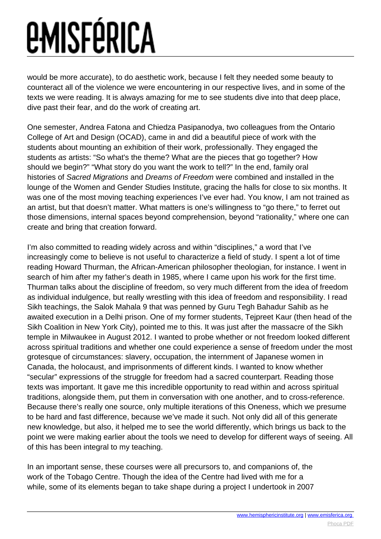would be more accurate), to do aesthetic work, because I felt they needed some beauty to counteract all of the violence we were encountering in our respective lives, and in some of the texts we were reading. It is always amazing for me to see students dive into that deep place, dive past their fear, and do the work of creating art.

One semester, Andrea Fatona and Chiedza Pasipanodya, two colleagues from the Ontario College of Art and Design (OCAD), came in and did a beautiful piece of work with the students about mounting an exhibition of their work, professionally. They engaged the students as artists: "So what's the theme? What are the pieces that go together? How should we begin?" "What story do you want the work to tell?" In the end, family oral histories of Sacred Migrations and Dreams of Freedom were combined and installed in the lounge of the Women and Gender Studies Institute, gracing the halls for close to six months. It was one of the most moving teaching experiences I've ever had. You know, I am not trained as an artist, but that doesn't matter. What matters is one's willingness to "go there," to ferret out those dimensions, internal spaces beyond comprehension, beyond "rationality," where one can create and bring that creation forward.

I'm also committed to reading widely across and within "disciplines," a word that I've increasingly come to believe is not useful to characterize a field of study. I spent a lot of time reading Howard Thurman, the African-American philosopher theologian, for instance. I went in search of him after my father's death in 1985, where I came upon his work for the first time. Thurman talks about the discipline of freedom, so very much different from the idea of freedom as individual indulgence, but really wrestling with this idea of freedom and responsibility. I read Sikh teachings, the Salok Mahala 9 that was penned by Guru Tegh Bahadur Sahib as he awaited execution in a Delhi prison. One of my former students, Tejpreet Kaur (then head of the Sikh Coalition in New York City), pointed me to this. It was just after the massacre of the Sikh temple in Milwaukee in August 2012. I wanted to probe whether or not freedom looked different across spiritual traditions and whether one could experience a sense of freedom under the most grotesque of circumstances: slavery, occupation, the internment of Japanese women in Canada, the holocaust, and imprisonments of different kinds. I wanted to know whether "secular" expressions of the struggle for freedom had a sacred counterpart. Reading those texts was important. It gave me this incredible opportunity to read within and across spiritual traditions, alongside them, put them in conversation with one another, and to cross-reference. Because there's really one source, only multiple iterations of this Oneness, which we presume to be hard and fast difference, because we've made it such. Not only did all of this generate new knowledge, but also, it helped me to see the world differently, which brings us back to the point we were making earlier about the tools we need to develop for different ways of seeing. All of this has been integral to my teaching.

In an important sense, these courses were all precursors to, and companions of, the work of the Tobago Centre. Though the idea of the Centre had lived with me for a while, some of its elements began to take shape during a project I undertook in 2007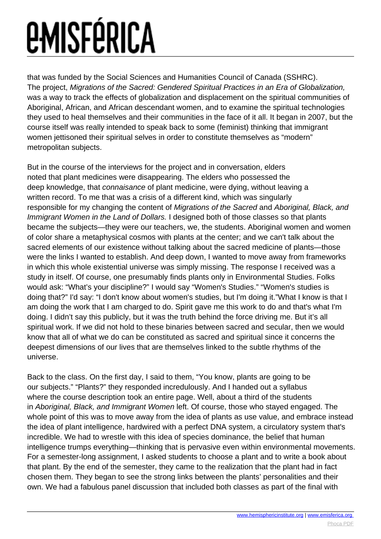that was funded by the Social Sciences and Humanities Council of Canada (SSHRC). The project, Migrations of the Sacred: Gendered Spiritual Practices in an Era of Globalization, was a way to track the effects of globalization and displacement on the spiritual communities of Aboriginal, African, and African descendant women, and to examine the spiritual technologies they used to heal themselves and their communities in the face of it all. It began in 2007, but the course itself was really intended to speak back to some (feminist) thinking that immigrant women jettisoned their spiritual selves in order to constitute themselves as "modern" metropolitan subjects.

But in the course of the interviews for the project and in conversation, elders noted that plant medicines were disappearing. The elders who possessed the deep knowledge, that connaisance of plant medicine, were dying, without leaving a written record. To me that was a crisis of a different kind, which was singularly responsible for my changing the content of Migrations of the Sacred and Aboriginal, Black, and Immigrant Women in the Land of Dollars. I designed both of those classes so that plants became the subjects—they were our teachers, we, the students. Aboriginal women and women of color share a metaphysical cosmos with plants at the center; and we can't talk about the sacred elements of our existence without talking about the sacred medicine of plants—those were the links I wanted to establish. And deep down, I wanted to move away from frameworks in which this whole existential universe was simply missing. The response I received was a study in itself. Of course, one presumably finds plants only in Environmental Studies. Folks would ask: "What's your discipline?" I would say "Women's Studies." "Women's studies is doing that?" I'd say: "I don't know about women's studies, but I'm doing it."What I know is that I am doing the work that I am charged to do. Spirit gave me this work to do and that's what I'm doing. I didn't say this publicly, but it was the truth behind the force driving me. But it's all spiritual work. If we did not hold to these binaries between sacred and secular, then we would know that all of what we do can be constituted as sacred and spiritual since it concerns the deepest dimensions of our lives that are themselves linked to the subtle rhythms of the universe.

Back to the class. On the first day, I said to them, "You know, plants are going to be our subjects." "Plants?" they responded incredulously. And I handed out a syllabus where the course description took an entire page. Well, about a third of the students in Aboriginal, Black, and Immigrant Women left. Of course, those who stayed engaged. The whole point of this was to move away from the idea of plants as use value, and embrace instead the idea of plant intelligence, hardwired with a perfect DNA system, a circulatory system that's incredible. We had to wrestle with this idea of species dominance, the belief that human intelligence trumps everything—thinking that is pervasive even within environmental movements. For a semester-long assignment, I asked students to choose a plant and to write a book about that plant. By the end of the semester, they came to the realization that the plant had in fact chosen them. They began to see the strong links between the plants' personalities and their own. We had a fabulous panel discussion that included both classes as part of the final with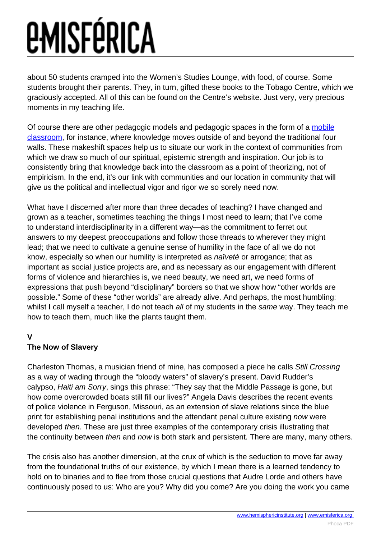about 50 students cramped into the Women's Studies Lounge, with food, of course. Some students brought their parents. They, in turn, gifted these books to the Tobago Centre, which we graciously accepted. All of this can be found on the Centre's website. Just very, very precious moments in my teaching life.

Of course there are other pedagogic models and pedagogic spaces in the form of a [mobile](http://www.wgsi.utoronto.ca/research/faculty-projects/interview-with-m-jacqui-alexander) [classroom](http://www.wgsi.utoronto.ca/research/faculty-projects/interview-with-m-jacqui-alexander), for instance, where knowledge moves outside of and beyond the traditional four walls. These makeshift spaces help us to situate our work in the context of communities from which we draw so much of our spiritual, epistemic strength and inspiration. Our job is to consistently bring that knowledge back into the classroom as a point of theorizing, not of empiricism. In the end, it's our link with communities and our location in community that will give us the political and intellectual vigor and rigor we so sorely need now.

What have I discerned after more than three decades of teaching? I have changed and grown as a teacher, sometimes teaching the things I most need to learn; that I've come to understand interdisciplinarity in a different way—as the commitment to ferret out answers to my deepest preoccupations and follow those threads to wherever they might lead; that we need to cultivate a genuine sense of humility in the face of all we do not know, especially so when our humility is interpreted as naïveté or arrogance; that as important as social justice projects are, and as necessary as our engagement with different forms of violence and hierarchies is, we need beauty, we need art, we need forms of expressions that push beyond "disciplinary" borders so that we show how "other worlds are possible." Some of these "other worlds" are already alive. And perhaps, the most humbling: whilst I call myself a teacher, I do not teach all of my students in the same way. They teach me how to teach them, much like the plants taught them.

### **V**

### **The Now of Slavery**

Charleston Thomas, a musician friend of mine, has composed a piece he calls Still Crossing as a way of wading through the "bloody waters" of slavery's present. David Rudder's calypso, Haiti am Sorry, sings this phrase: "They say that the Middle Passage is gone, but how come overcrowded boats still fill our lives?" Angela Davis describes the recent events of police violence in Ferguson, Missouri, as an extension of slave relations since the blue print for establishing penal institutions and the attendant penal culture existing now were developed then. These are just three examples of the contemporary crisis illustrating that the continuity between *then* and *now* is both stark and persistent. There are many, many others.

The crisis also has another dimension, at the crux of which is the seduction to move far away from the foundational truths of our existence, by which I mean there is a learned tendency to hold on to binaries and to flee from those crucial questions that Audre Lorde and others have continuously posed to us: Who are you? Why did you come? Are you doing the work you came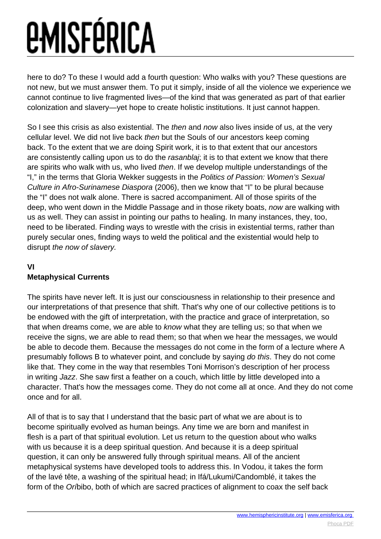here to do? To these I would add a fourth question: Who walks with you? These questions are not new, but we must answer them. To put it simply, inside of all the violence we experience we cannot continue to live fragmented lives—of the kind that was generated as part of that earlier colonization and slavery—yet hope to create holistic institutions. It just cannot happen.

So I see this crisis as also existential. The *then* and *now* also lives inside of us, at the very cellular level. We did not live back then but the Souls of our ancestors keep coming back. To the extent that we are doing Spirit work, it is to that extent that our ancestors are consistently calling upon us to do the rasanblaj; it is to that extent we know that there are spirits who walk with us, who lived then. If we develop multiple understandings of the "I," in the terms that Gloria Wekker suggests in the Politics of Passion: Women's Sexual Culture in Afro-Surinamese Diaspora (2006), then we know that "I" to be plural because the "I" does not walk alone. There is sacred accompaniment. All of those spirits of the deep, who went down in the Middle Passage and in those rikety boats, now are walking with us as well. They can assist in pointing our paths to healing. In many instances, they, too, need to be liberated. Finding ways to wrestle with the crisis in existential terms, rather than purely secular ones, finding ways to weld the political and the existential would help to disrupt the now of slavery.

### **VI**

### **Metaphysical Currents**

The spirits have never left. It is just our consciousness in relationship to their presence and our interpretations of that presence that shift. That's why one of our collective petitions is to be endowed with the gift of interpretation, with the practice and grace of interpretation, so that when dreams come, we are able to know what they are telling us; so that when we receive the signs, we are able to read them; so that when we hear the messages, we would be able to decode them. Because the messages do not come in the form of a lecture where A presumably follows B to whatever point, and conclude by saying do this. They do not come like that. They come in the way that resembles Toni Morrison's description of her process in writing Jazz. She saw first a feather on a couch, which little by little developed into a character. That's how the messages come. They do not come all at once. And they do not come once and for all.

All of that is to say that I understand that the basic part of what we are about is to become spiritually evolved as human beings. Any time we are born and manifest in flesh is a part of that spiritual evolution. Let us return to the question about who walks with us because it is a deep spiritual question. And because it is a deep spiritual question, it can only be answered fully through spiritual means. All of the ancient metaphysical systems have developed tools to address this. In Vodou, it takes the form of the lavé tête, a washing of the spiritual head; in Ifá/Lukumi/Candomblé, it takes the form of the Oríbibo, both of which are sacred practices of alignment to coax the self back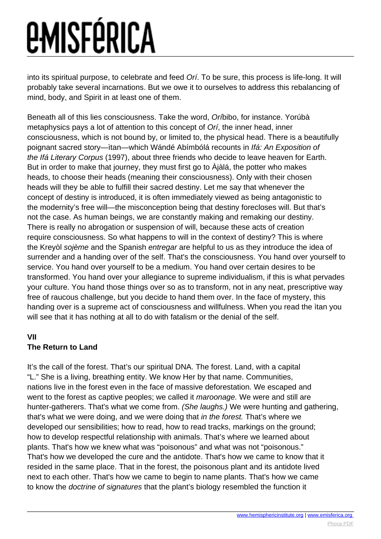into its spiritual purpose, to celebrate and feed Orí. To be sure, this process is life-long. It will probably take several incarnations. But we owe it to ourselves to address this rebalancing of mind, body, and Spirit in at least one of them.

Beneath all of this lies consciousness. Take the word, Oríbibo, for instance. Yorúbà metaphysics pays a lot of attention to this concept of Orí, the inner head, inner consciousness, which is not bound by, or limited to, the physical head. There is a beautifully poignant sacred story—ìtan—which Wándé Abímbólá recounts in Ifá: An Exposition of the Ifá Literary Corpus (1997), about three friends who decide to leave heaven for Earth. But in order to make that journey, they must first go to Àjàlá, the potter who makes heads, to choose their heads (meaning their consciousness). Only with their chosen heads will they be able to fulfill their sacred destiny. Let me say that whenever the concept of destiny is introduced, it is often immediately viewed as being antagonistic to the modernity's free will—the misconception being that destiny forecloses will. But that's not the case. As human beings, we are constantly making and remaking our destiny. There is really no abrogation or suspension of will, because these acts of creation require consciousness. So what happens to will in the context of destiny? This is where the Kreyòl sojème and the Spanish entregar are helpful to us as they introduce the idea of surrender and a handing over of the self. That's the consciousness. You hand over yourself to service. You hand over yourself to be a medium. You hand over certain desires to be transformed. You hand over your allegiance to supreme individualism, if this is what pervades your culture. You hand those things over so as to transform, not in any neat, prescriptive way free of raucous challenge, but you decide to hand them over. In the face of mystery, this handing over is a supreme act of consciousness and willfulness. When you read the ìtan you will see that it has nothing at all to do with fatalism or the denial of the self.

### **VII**

### **The Return to Land**

It's the call of the forest. That's our spiritual DNA. The forest. Land, with a capital "L." She is a living, breathing entity. We know Her by that name. Communities, nations live in the forest even in the face of massive deforestation. We escaped and went to the forest as captive peoples; we called it *maroonage*. We were and still are hunter-gatherers. That's what we come from. (She laughs.) We were hunting and gathering, that's what we were doing, and we were doing that in the forest. That's where we developed our sensibilities; how to read, how to read tracks, markings on the ground; how to develop respectful relationship with animals. That's where we learned about plants. That's how we knew what was "poisonous" and what was not "poisonous." That's how we developed the cure and the antidote. That's how we came to know that it resided in the same place. That in the forest, the poisonous plant and its antidote lived next to each other. That's how we came to begin to name plants. That's how we came to know the doctrine of signatures that the plant's biology resembled the function it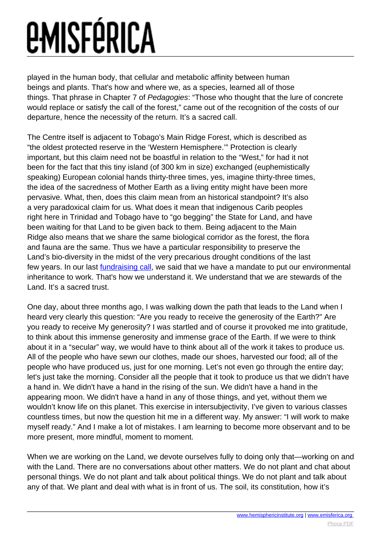played in the human body, that cellular and metabolic affinity between human beings and plants. That's how and where we, as a species, learned all of those things. That phrase in Chapter 7 of Pedagogies: "Those who thought that the lure of concrete would replace or satisfy the call of the forest," came out of the recognition of the costs of our departure, hence the necessity of the return. It's a sacred call.

The Centre itself is adjacent to Tobago's Main Ridge Forest, which is described as "the oldest protected reserve in the 'Western Hemisphere.'" Protection is clearly important, but this claim need not be boastful in relation to the "West," for had it not been for the fact that this tiny island (of 300 km in size) exchanged (euphemistically speaking) European colonial hands thirty-three times, yes, imagine thirty-three times, the idea of the sacredness of Mother Earth as a living entity might have been more pervasive. What, then, does this claim mean from an historical standpoint? It's also a very paradoxical claim for us. What does it mean that indigenous Carib peoples right here in Trinidad and Tobago have to "go begging" the State for Land, and have been waiting for that Land to be given back to them. Being adjacent to the Main Ridge also means that we share the same biological corridor as the forest, the flora and fauna are the same. Thus we have a particular responsibility to preserve the Land's bio-diversity in the midst of the very precarious drought conditions of the last few years. In our last [fundraising call,](https://donatenow.networkforgood.org/TobagoCenterPartner?code=sidebanner) we said that we have a mandate to put our environmental inheritance to work. That's how we understand it. We understand that we are stewards of the Land. It's a sacred trust.

One day, about three months ago, I was walking down the path that leads to the Land when I heard very clearly this question: "Are you ready to receive the generosity of the Earth?" Are you ready to receive My generosity? I was startled and of course it provoked me into gratitude, to think about this immense generosity and immense grace of the Earth. If we were to think about it in a "secular" way, we would have to think about all of the work it takes to produce us. All of the people who have sewn our clothes, made our shoes, harvested our food; all of the people who have produced us, just for one morning. Let's not even go through the entire day; let's just take the morning. Consider all the people that it took to produce us that we didn't have a hand in. We didn't have a hand in the rising of the sun. We didn't have a hand in the appearing moon. We didn't have a hand in any of those things, and yet, without them we wouldn't know life on this planet. This exercise in intersubjectivity, I've given to various classes countless times, but now the question hit me in a different way. My answer: "I will work to make myself ready." And I make a lot of mistakes. I am learning to become more observant and to be more present, more mindful, moment to moment.

When we are working on the Land, we devote ourselves fully to doing only that—working on and with the Land. There are no conversations about other matters. We do not plant and chat about personal things. We do not plant and talk about political things. We do not plant and talk about any of that. We plant and deal with what is in front of us. The soil, its constitution, how it's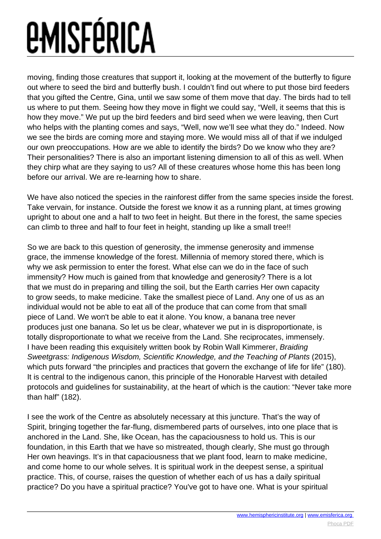moving, finding those creatures that support it, looking at the movement of the butterfly to figure out where to seed the bird and butterfly bush. I couldn't find out where to put those bird feeders that you gifted the Centre, Gina, until we saw some of them move that day. The birds had to tell us where to put them. Seeing how they move in flight we could say, "Well, it seems that this is how they move." We put up the bird feeders and bird seed when we were leaving, then Curt who helps with the planting comes and says, "Well, now we'll see what they do." Indeed. Now we see the birds are coming more and staying more. We would miss all of that if we indulged our own preoccupations. How are we able to identify the birds? Do we know who they are? Their personalities? There is also an important listening dimension to all of this as well. When they chirp what are they saying to us? All of these creatures whose home this has been long before our arrival. We are re-learning how to share.

We have also noticed the species in the rainforest differ from the same species inside the forest. Take vervain, for instance. Outside the forest we know it as a running plant, at times growing upright to about one and a half to two feet in height. But there in the forest, the same species can climb to three and half to four feet in height, standing up like a small tree!!

So we are back to this question of generosity, the immense generosity and immense grace, the immense knowledge of the forest. Millennia of memory stored there, which is why we ask permission to enter the forest. What else can we do in the face of such immensity? How much is gained from that knowledge and generosity? There is a lot that we must do in preparing and tilling the soil, but the Earth carries Her own capacity to grow seeds, to make medicine. Take the smallest piece of Land. Any one of us as an individual would not be able to eat all of the produce that can come from that small piece of Land. We won't be able to eat it alone. You know, a banana tree never produces just one banana. So let us be clear, whatever we put in is disproportionate, is totally disproportionate to what we receive from the Land. She reciprocates, immensely. I have been reading this exquisitely written book by Robin Wall Kimmerer, Braiding Sweetgrass: Indigenous Wisdom, Scientific Knowledge, and the Teaching of Plants (2015), which puts forward "the principles and practices that govern the exchange of life for life" (180). It is central to the indigenous canon, this principle of the Honorable Harvest with detailed protocols and guidelines for sustainability, at the heart of which is the caution: "Never take more than half" (182).

I see the work of the Centre as absolutely necessary at this juncture. That's the way of Spirit, bringing together the far-flung, dismembered parts of ourselves, into one place that is anchored in the Land. She, like Ocean, has the capaciousness to hold us. This is our foundation, in this Earth that we have so mistreated, though clearly, She must go through Her own heavings. It's in that capaciousness that we plant food, learn to make medicine, and come home to our whole selves. It is spiritual work in the deepest sense, a spiritual practice. This, of course, raises the question of whether each of us has a daily spiritual practice? Do you have a spiritual practice? You've got to have one. What is your spiritual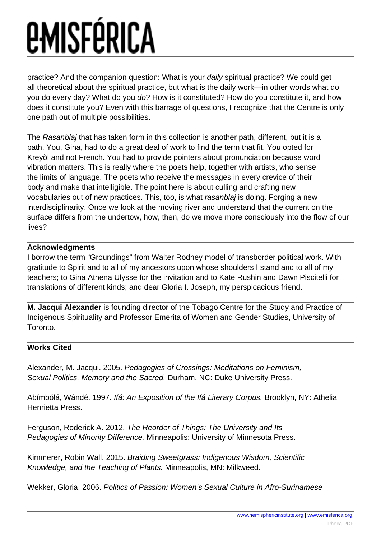practice? And the companion question: What is your daily spiritual practice? We could get all theoretical about the spiritual practice, but what is the daily work—in other words what do you do every day? What do you do? How is it constituted? How do you constitute it, and how does it constitute you? Even with this barrage of questions, I recognize that the Centre is only one path out of multiple possibilities.

The Rasanblaj that has taken form in this collection is another path, different, but it is a path. You, Gina, had to do a great deal of work to find the term that fit. You opted for Kreyòl and not French. You had to provide pointers about pronunciation because word vibration matters. This is really where the poets help, together with artists, who sense the limits of language. The poets who receive the messages in every crevice of their body and make that intelligible. The point here is about culling and crafting new vocabularies out of new practices. This, too, is what rasanblaj is doing. Forging a new interdisciplinarity. Once we look at the moving river and understand that the current on the surface differs from the undertow, how, then, do we move more consciously into the flow of our lives?

### **Acknowledgments**

I borrow the term "Groundings" from Walter Rodney model of transborder political work. With gratitude to Spirit and to all of my ancestors upon whose shoulders I stand and to all of my teachers; to Gina Athena Ulysse for the invitation and to Kate Rushin and Dawn Piscitelli for translations of different kinds; and dear Gloria I. Joseph, my perspicacious friend.

**M. Jacqui Alexander** is founding director of the Tobago Centre for the Study and Practice of Indigenous Spirituality and Professor Emerita of Women and Gender Studies, University of Toronto.

### **Works Cited**

Alexander, M. Jacqui. 2005. Pedagogies of Crossings: Meditations on Feminism, Sexual Politics, Memory and the Sacred. Durham, NC: Duke University Press.

Abímbólá, Wándé. 1997. Ifá: An Exposition of the Ifá Literary Corpus. Brooklyn, NY: Athelia Henrietta Press.

Ferguson, Roderick A. 2012. The Reorder of Things: The University and Its Pedagogies of Minority Difference. Minneapolis: University of Minnesota Press.

Kimmerer, Robin Wall. 2015. Braiding Sweetgrass: Indigenous Wisdom, Scientific Knowledge, and the Teaching of Plants. Minneapolis, MN: Milkweed.

Wekker, Gloria. 2006. Politics of Passion: Women's Sexual Culture in Afro-Surinamese